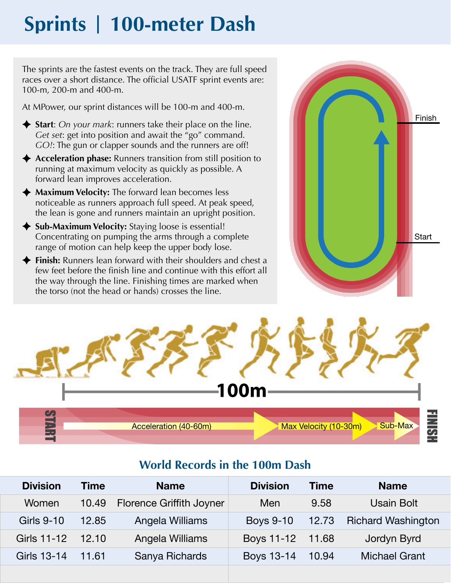# **Sprints | 100-meter Dash**

The sprints are the fastest events on the track. They are full speed races over a short distance. The official USATF sprint events are: 100-m, 200-m and 400-m.

At MPower, our sprint distances will be 100-m and 400-m.

- ◆ **Start**: *On your mark*: runners take their place on the line. *Get set*: get into position and await the "go" command. *GO!*: The gun or clapper sounds and the runners are off!
- ◆ Acceleration phase: Runners transition from still position to running at maximum velocity as quickly as possible. A forward lean improves acceleration.
- ◆ Maximum Velocity: The forward lean becomes less noticeable as runners approach full speed. At peak speed, the lean is gone and runners maintain an upright position.
- ◆ Sub-Maximum Velocity: Staying loose is essential! Concentrating on pumping the arms through a complete range of motion can help keep the upper body lose.
- **Finish:** Runners lean forward with their shoulders and chest a few feet before the finish line and continue with this effort all the way through the line. Finishing times are marked when the torso (not the head or hands) crosses the line.





## **World Records in the 100m Dash**

| <b>Division</b> | <b>Time</b> | <b>Name</b>                     | <b>Division</b>  | <b>Time</b> | <b>Name</b>               |
|-----------------|-------------|---------------------------------|------------------|-------------|---------------------------|
| Women           | 10.49       | <b>Florence Griffith Joyner</b> | Men              | 9.58        | <b>Usain Bolt</b>         |
| Girls 9-10      | 12.85       | Angela Williams                 | <b>Boys 9-10</b> | 12.73       | <b>Richard Washington</b> |
| Girls 11-12     | 12.10       | Angela Williams                 | Boys 11-12 11.68 |             | Jordyn Byrd               |
| Girls 13-14     | 11.61       | Sanya Richards                  | Boys 13-14       | 10.94       | <b>Michael Grant</b>      |
|                 |             |                                 |                  |             |                           |